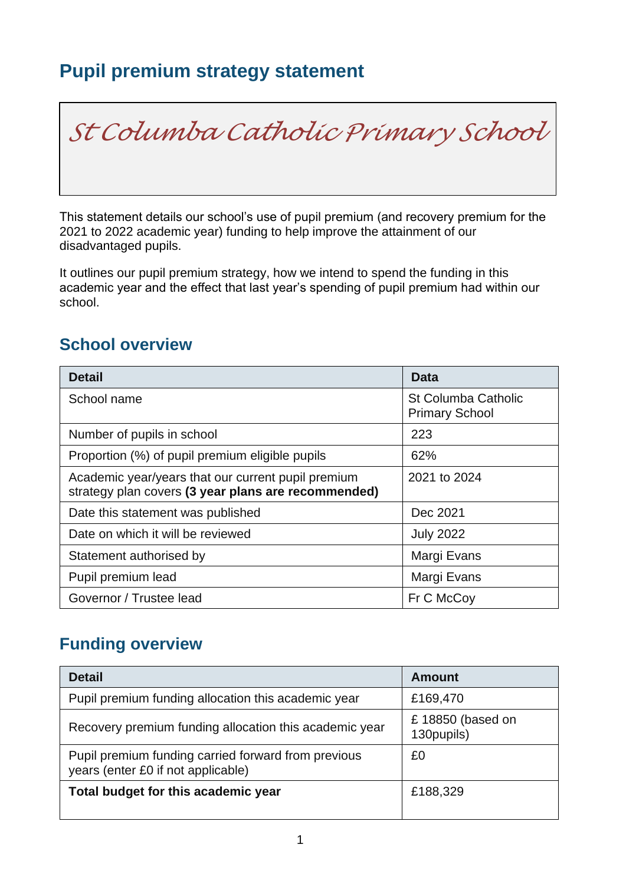# **Pupil premium strategy statement**

*St Columba Catholic Primary School*

This statement details our school's use of pupil premium (and recovery premium for the 2021 to 2022 academic year) funding to help improve the attainment of our disadvantaged pupils.

It outlines our pupil premium strategy, how we intend to spend the funding in this academic year and the effect that last year's spending of pupil premium had within our school.

## **School overview**

| <b>Detail</b>                                                                                             | Data                                         |
|-----------------------------------------------------------------------------------------------------------|----------------------------------------------|
| School name                                                                                               | St Columba Catholic<br><b>Primary School</b> |
| Number of pupils in school                                                                                | 223                                          |
| Proportion (%) of pupil premium eligible pupils                                                           | 62%                                          |
| Academic year/years that our current pupil premium<br>strategy plan covers (3 year plans are recommended) | 2021 to 2024                                 |
| Date this statement was published                                                                         | Dec 2021                                     |
| Date on which it will be reviewed                                                                         | <b>July 2022</b>                             |
| Statement authorised by                                                                                   | Margi Evans                                  |
| Pupil premium lead                                                                                        | Margi Evans                                  |
| Governor / Trustee lead                                                                                   | Fr C McCoy                                   |

## **Funding overview**

| <b>Detail</b>                                                                             | <b>Amount</b>                  |  |
|-------------------------------------------------------------------------------------------|--------------------------------|--|
| Pupil premium funding allocation this academic year                                       | £169,470                       |  |
| Recovery premium funding allocation this academic year                                    | £18850 (based on<br>130pupils) |  |
| Pupil premium funding carried forward from previous<br>years (enter £0 if not applicable) | £0                             |  |
| Total budget for this academic year                                                       | £188,329                       |  |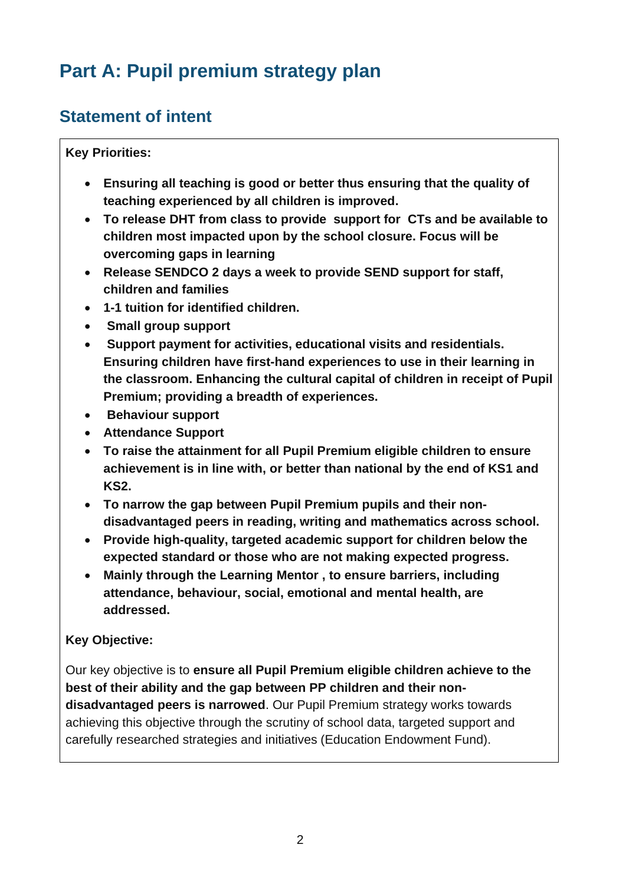# **Part A: Pupil premium strategy plan**

## **Statement of intent**

**Key Priorities:**

- **Ensuring all teaching is good or better thus ensuring that the quality of teaching experienced by all children is improved.**
- **To release DHT from class to provide support for CTs and be available to children most impacted upon by the school closure. Focus will be overcoming gaps in learning**
- **Release SENDCO 2 days a week to provide SEND support for staff, children and families**
- **1-1 tuition for identified children.**
- **Small group support**
- **Support payment for activities, educational visits and residentials. Ensuring children have first-hand experiences to use in their learning in the classroom. Enhancing the cultural capital of children in receipt of Pupil Premium; providing a breadth of experiences.**
- **Behaviour support**
- **Attendance Support**
- **To raise the attainment for all Pupil Premium eligible children to ensure achievement is in line with, or better than national by the end of KS1 and KS2.**
- **To narrow the gap between Pupil Premium pupils and their nondisadvantaged peers in reading, writing and mathematics across school.**
- **Provide high-quality, targeted academic support for children below the expected standard or those who are not making expected progress.**
- **Mainly through the Learning Mentor , to ensure barriers, including attendance, behaviour, social, emotional and mental health, are addressed.**

#### **Key Objective:**

Our key objective is to **ensure all Pupil Premium eligible children achieve to the best of their ability and the gap between PP children and their nondisadvantaged peers is narrowed**. Our Pupil Premium strategy works towards achieving this objective through the scrutiny of school data, targeted support and carefully researched strategies and initiatives (Education Endowment Fund).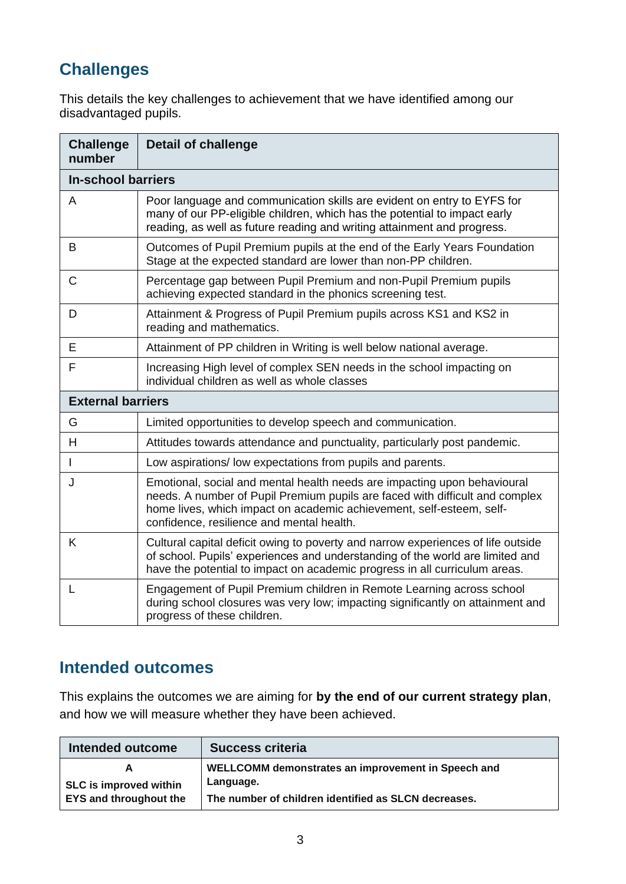## **Challenges**

This details the key challenges to achievement that we have identified among our disadvantaged pupils.

| <b>Challenge</b><br>number | <b>Detail of challenge</b>                                                                                                                                                                                                                                                    |  |  |
|----------------------------|-------------------------------------------------------------------------------------------------------------------------------------------------------------------------------------------------------------------------------------------------------------------------------|--|--|
|                            | <b>In-school barriers</b>                                                                                                                                                                                                                                                     |  |  |
| A                          | Poor language and communication skills are evident on entry to EYFS for<br>many of our PP-eligible children, which has the potential to impact early<br>reading, as well as future reading and writing attainment and progress.                                               |  |  |
| B                          | Outcomes of Pupil Premium pupils at the end of the Early Years Foundation<br>Stage at the expected standard are lower than non-PP children.                                                                                                                                   |  |  |
| C                          | Percentage gap between Pupil Premium and non-Pupil Premium pupils<br>achieving expected standard in the phonics screening test.                                                                                                                                               |  |  |
| D                          | Attainment & Progress of Pupil Premium pupils across KS1 and KS2 in<br>reading and mathematics.                                                                                                                                                                               |  |  |
| E                          | Attainment of PP children in Writing is well below national average.                                                                                                                                                                                                          |  |  |
| F                          | Increasing High level of complex SEN needs in the school impacting on<br>individual children as well as whole classes                                                                                                                                                         |  |  |
| <b>External barriers</b>   |                                                                                                                                                                                                                                                                               |  |  |
| G                          | Limited opportunities to develop speech and communication.                                                                                                                                                                                                                    |  |  |
| H                          | Attitudes towards attendance and punctuality, particularly post pandemic.                                                                                                                                                                                                     |  |  |
| I                          | Low aspirations/low expectations from pupils and parents.                                                                                                                                                                                                                     |  |  |
| J                          | Emotional, social and mental health needs are impacting upon behavioural<br>needs. A number of Pupil Premium pupils are faced with difficult and complex<br>home lives, which impact on academic achievement, self-esteem, self-<br>confidence, resilience and mental health. |  |  |
| K                          | Cultural capital deficit owing to poverty and narrow experiences of life outside<br>of school. Pupils' experiences and understanding of the world are limited and<br>have the potential to impact on academic progress in all curriculum areas.                               |  |  |
| L                          | Engagement of Pupil Premium children in Remote Learning across school<br>during school closures was very low; impacting significantly on attainment and<br>progress of these children.                                                                                        |  |  |

## **Intended outcomes**

This explains the outcomes we are aiming for **by the end of our current strategy plan**, and how we will measure whether they have been achieved.

| Intended outcome              | <b>Success criteria</b>                              |
|-------------------------------|------------------------------------------------------|
| A                             | WELLCOMM demonstrates an improvement in Speech and   |
| <b>SLC</b> is improved within | Language.                                            |
| <b>EYS and throughout the</b> | The number of children identified as SLCN decreases. |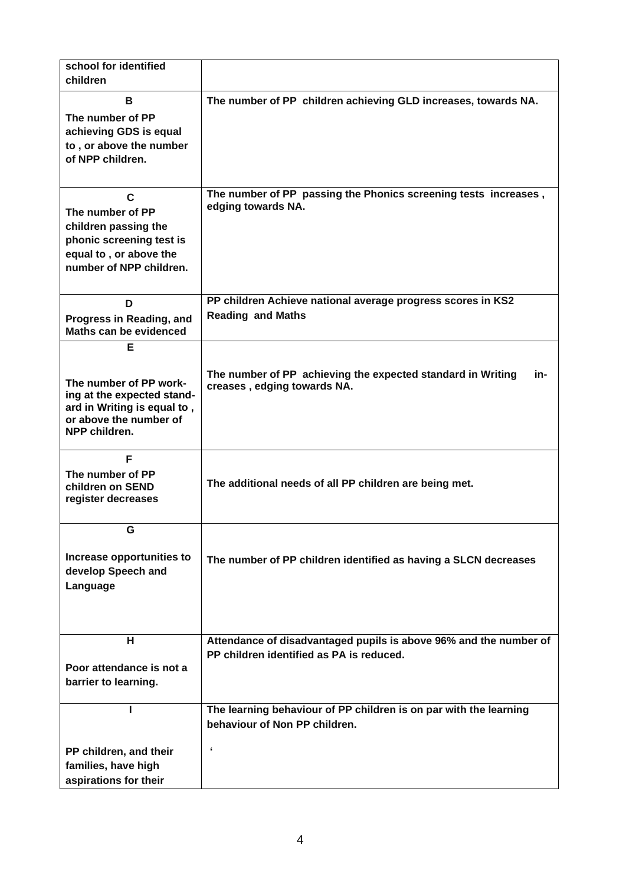| school for identified<br>children                     |                                                                    |
|-------------------------------------------------------|--------------------------------------------------------------------|
|                                                       |                                                                    |
| B                                                     | The number of PP children achieving GLD increases, towards NA.     |
| The number of PP                                      |                                                                    |
| achieving GDS is equal<br>to, or above the number     |                                                                    |
| of NPP children.                                      |                                                                    |
|                                                       |                                                                    |
| C                                                     | The number of PP passing the Phonics screening tests increases,    |
| The number of PP                                      | edging towards NA.                                                 |
| children passing the                                  |                                                                    |
| phonic screening test is                              |                                                                    |
| equal to, or above the                                |                                                                    |
| number of NPP children.                               |                                                                    |
|                                                       |                                                                    |
| D                                                     | PP children Achieve national average progress scores in KS2        |
| Progress in Reading, and                              | <b>Reading and Maths</b>                                           |
| Maths can be evidenced                                |                                                                    |
| Е                                                     |                                                                    |
|                                                       | The number of PP achieving the expected standard in Writing<br>in- |
| The number of PP work-                                | creases, edging towards NA.                                        |
| ing at the expected stand-                            |                                                                    |
| ard in Writing is equal to,<br>or above the number of |                                                                    |
| NPP children.                                         |                                                                    |
|                                                       |                                                                    |
| F                                                     |                                                                    |
| The number of PP<br>children on SEND                  | The additional needs of all PP children are being met.             |
| register decreases                                    |                                                                    |
|                                                       |                                                                    |
| G                                                     |                                                                    |
| Increase opportunities to                             |                                                                    |
| develop Speech and                                    | The number of PP children identified as having a SLCN decreases    |
| Language                                              |                                                                    |
|                                                       |                                                                    |
|                                                       |                                                                    |
| н                                                     | Attendance of disadvantaged pupils is above 96% and the number of  |
|                                                       | PP children identified as PA is reduced.                           |
| Poor attendance is not a                              |                                                                    |
| barrier to learning.                                  |                                                                    |
|                                                       |                                                                    |
|                                                       | The learning behaviour of PP children is on par with the learning  |
|                                                       | behaviour of Non PP children.                                      |
| PP children, and their                                | $\pmb{\epsilon}$                                                   |
| families, have high                                   |                                                                    |
| aspirations for their                                 |                                                                    |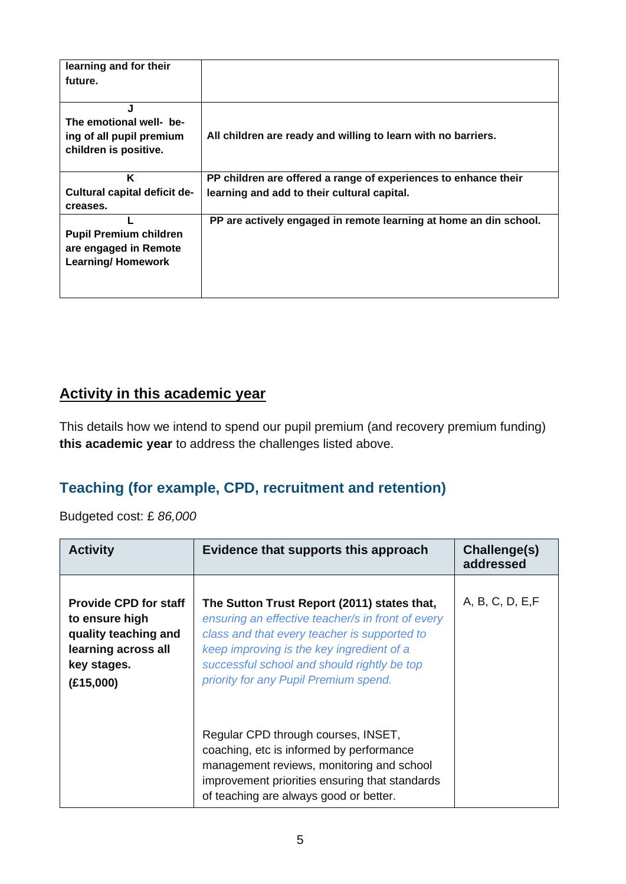| learning and for their<br>future.                                                  |                                                                   |
|------------------------------------------------------------------------------------|-------------------------------------------------------------------|
| J<br>The emotional well- be-<br>ing of all pupil premium<br>children is positive.  | All children are ready and willing to learn with no barriers.     |
| K                                                                                  | PP children are offered a range of experiences to enhance their   |
| Cultural capital deficit de-<br>creases.                                           | learning and add to their cultural capital.                       |
| <b>Pupil Premium children</b><br>are engaged in Remote<br><b>Learning/Homework</b> | PP are actively engaged in remote learning at home an din school. |

### **Activity in this academic year**

This details how we intend to spend our pupil premium (and recovery premium funding) **this academic year** to address the challenges listed above.

### **Teaching (for example, CPD, recruitment and retention)**

Budgeted cost: £ *86,000*

| <b>Activity</b>                                                                                                           | Evidence that supports this approach                                                                                                                                                                                                                                                  | Challenge(s)<br>addressed |
|---------------------------------------------------------------------------------------------------------------------------|---------------------------------------------------------------------------------------------------------------------------------------------------------------------------------------------------------------------------------------------------------------------------------------|---------------------------|
| <b>Provide CPD for staff</b><br>to ensure high<br>quality teaching and<br>learning across all<br>key stages.<br>(E15,000) | The Sutton Trust Report (2011) states that,<br>ensuring an effective teacher/s in front of every<br>class and that every teacher is supported to<br>keep improving is the key ingredient of a<br>successful school and should rightly be top<br>priority for any Pupil Premium spend. | A, B, C, D, E, F          |
|                                                                                                                           | Regular CPD through courses, INSET,<br>coaching, etc is informed by performance<br>management reviews, monitoring and school<br>improvement priorities ensuring that standards<br>of teaching are always good or better.                                                              |                           |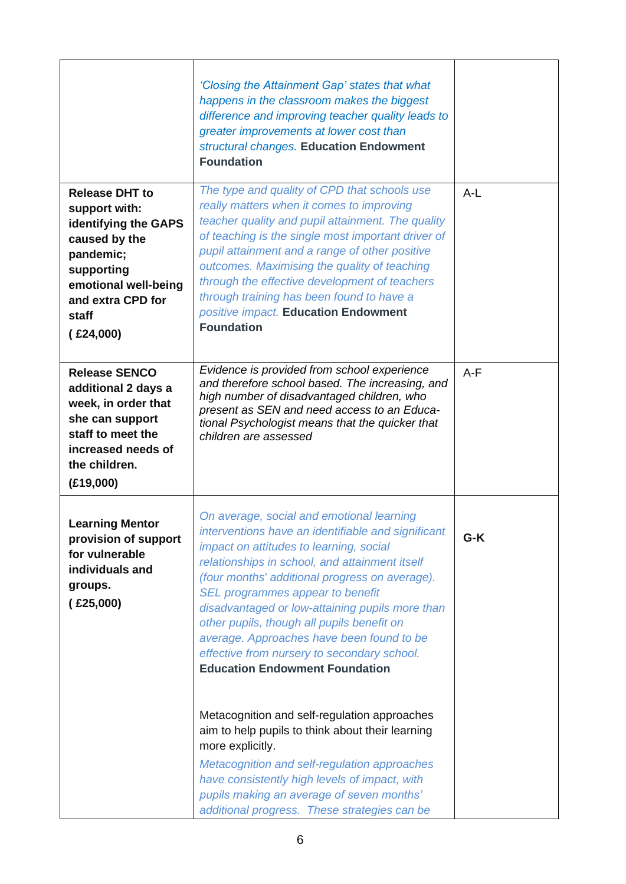|                                                                                                                                                                               | 'Closing the Attainment Gap' states that what<br>happens in the classroom makes the biggest<br>difference and improving teacher quality leads to<br>greater improvements at lower cost than<br>structural changes. Education Endowment<br><b>Foundation</b>                                                                                                                                                                                                                                                                                                                                                                                                                                                                                                                                                                                    |       |
|-------------------------------------------------------------------------------------------------------------------------------------------------------------------------------|------------------------------------------------------------------------------------------------------------------------------------------------------------------------------------------------------------------------------------------------------------------------------------------------------------------------------------------------------------------------------------------------------------------------------------------------------------------------------------------------------------------------------------------------------------------------------------------------------------------------------------------------------------------------------------------------------------------------------------------------------------------------------------------------------------------------------------------------|-------|
| <b>Release DHT to</b><br>support with:<br>identifying the GAPS<br>caused by the<br>pandemic;<br>supporting<br>emotional well-being<br>and extra CPD for<br>staff<br>(£24,000) | The type and quality of CPD that schools use<br>really matters when it comes to improving<br>teacher quality and pupil attainment. The quality<br>of teaching is the single most important driver of<br>pupil attainment and a range of other positive<br>outcomes. Maximising the quality of teaching<br>through the effective development of teachers<br>through training has been found to have a<br>positive impact. Education Endowment<br><b>Foundation</b>                                                                                                                                                                                                                                                                                                                                                                              | $A-L$ |
| <b>Release SENCO</b><br>additional 2 days a<br>week, in order that<br>she can support<br>staff to meet the<br>increased needs of<br>the children.<br>(E19,000)                | Evidence is provided from school experience<br>and therefore school based. The increasing, and<br>high number of disadvantaged children, who<br>present as SEN and need access to an Educa-<br>tional Psychologist means that the quicker that<br>children are assessed                                                                                                                                                                                                                                                                                                                                                                                                                                                                                                                                                                        | $A-F$ |
| <b>Learning Mentor</b><br>provision of support<br>for vulnerable<br>individuals and<br>groups.<br>(£25,000)                                                                   | On average, social and emotional learning<br>interventions have an identifiable and significant<br>impact on attitudes to learning, social<br>relationships in school, and attainment itself<br>(four months' additional progress on average).<br>SEL programmes appear to benefit<br>disadvantaged or low-attaining pupils more than<br>other pupils, though all pupils benefit on<br>average. Approaches have been found to be<br>effective from nursery to secondary school.<br><b>Education Endowment Foundation</b><br>Metacognition and self-regulation approaches<br>aim to help pupils to think about their learning<br>more explicitly.<br>Metacognition and self-regulation approaches<br>have consistently high levels of impact, with<br>pupils making an average of seven months'<br>additional progress. These strategies can be | $G-K$ |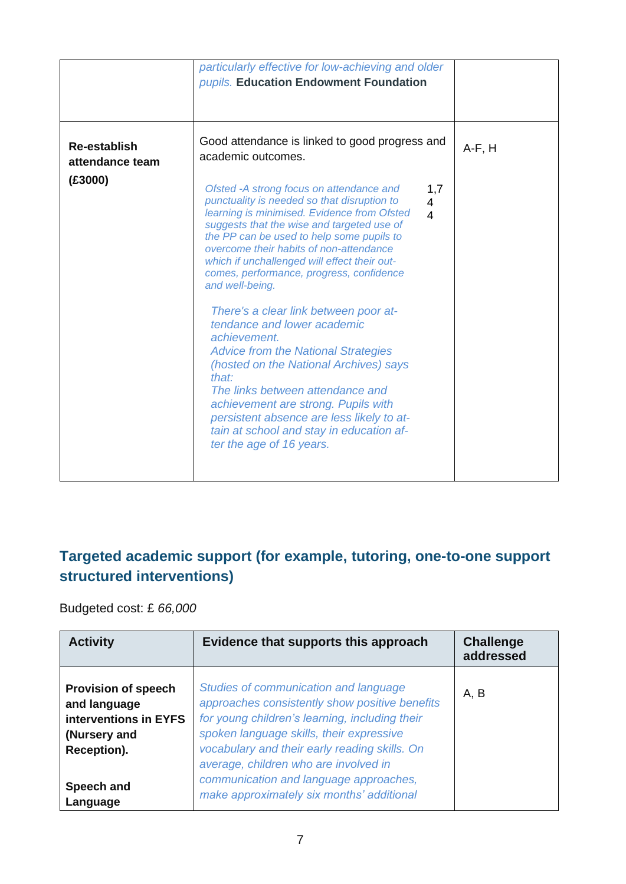|                                                   | particularly effective for low-achieving and older<br>pupils. Education Endowment Foundation                                                                                                                                                                                                                                                                                                                                                                                                                                                                                                                                                                                                                                                                                                                                                                 |                                         |          |
|---------------------------------------------------|--------------------------------------------------------------------------------------------------------------------------------------------------------------------------------------------------------------------------------------------------------------------------------------------------------------------------------------------------------------------------------------------------------------------------------------------------------------------------------------------------------------------------------------------------------------------------------------------------------------------------------------------------------------------------------------------------------------------------------------------------------------------------------------------------------------------------------------------------------------|-----------------------------------------|----------|
| <b>Re-establish</b><br>attendance team<br>(E3000) | Good attendance is linked to good progress and<br>academic outcomes.<br>Ofsted -A strong focus on attendance and<br>punctuality is needed so that disruption to<br>learning is minimised. Evidence from Ofsted<br>suggests that the wise and targeted use of<br>the PP can be used to help some pupils to<br>overcome their habits of non-attendance<br>which if unchallenged will effect their out-<br>comes, performance, progress, confidence<br>and well-being.<br>There's a clear link between poor at-<br>tendance and lower academic<br>achievement.<br><b>Advice from the National Strategies</b><br>(hosted on the National Archives) says<br>that:<br>The links between attendance and<br>achievement are strong. Pupils with<br>persistent absence are less likely to at-<br>tain at school and stay in education af-<br>ter the age of 16 years. | 1,7<br>$\overline{4}$<br>$\overline{4}$ | $A-F, H$ |

## **Targeted academic support (for example, tutoring, one-to-one support structured interventions)**

Budgeted cost: £ *66,000*

| <b>Activity</b>                                                                                                              | Evidence that supports this approach                                                                                                                                                                                                                                                                                                                                   | <b>Challenge</b><br>addressed |
|------------------------------------------------------------------------------------------------------------------------------|------------------------------------------------------------------------------------------------------------------------------------------------------------------------------------------------------------------------------------------------------------------------------------------------------------------------------------------------------------------------|-------------------------------|
| <b>Provision of speech</b><br>and language<br>interventions in EYFS<br>(Nursery and<br>Reception).<br>Speech and<br>Language | Studies of communication and language<br>approaches consistently show positive benefits<br>for young children's learning, including their<br>spoken language skills, their expressive<br>vocabulary and their early reading skills. On<br>average, children who are involved in<br>communication and language approaches,<br>make approximately six months' additional | A, B                          |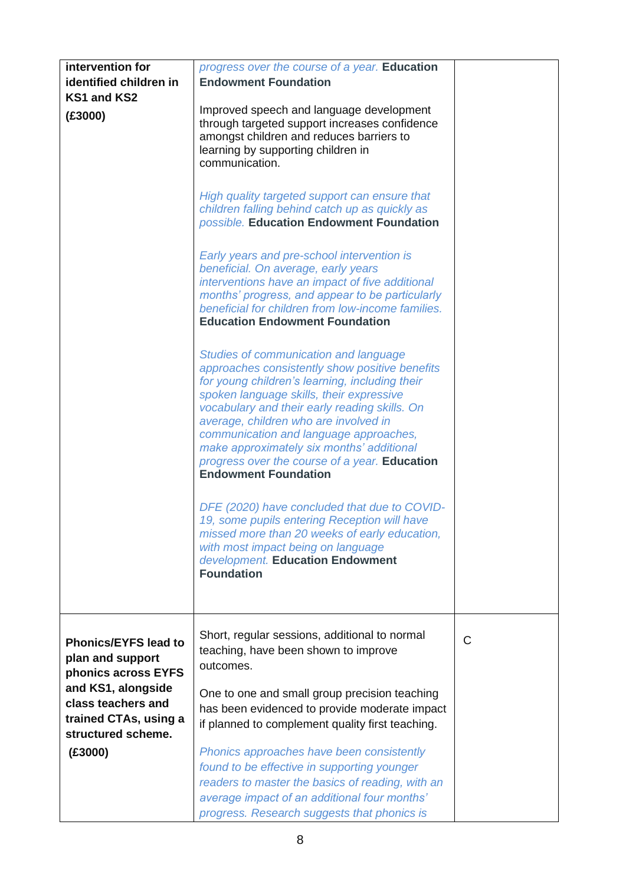| intervention for<br>identified children in<br>KS1 and KS2<br>(E3000)                                                                                              | progress over the course of a year. Education<br><b>Endowment Foundation</b><br>Improved speech and language development<br>through targeted support increases confidence<br>amongst children and reduces barriers to<br>learning by supporting children in<br>communication.<br>High quality targeted support can ensure that<br>children falling behind catch up as quickly as<br>possible. Education Endowment Foundation<br>Early years and pre-school intervention is<br>beneficial. On average, early years<br>interventions have an impact of five additional<br>months' progress, and appear to be particularly<br>beneficial for children from low-income families.<br><b>Education Endowment Foundation</b><br>Studies of communication and language<br>approaches consistently show positive benefits<br>for young children's learning, including their<br>spoken language skills, their expressive<br>vocabulary and their early reading skills. On<br>average, children who are involved in<br>communication and language approaches,<br>make approximately six months' additional<br>progress over the course of a year. Education<br><b>Endowment Foundation</b><br>DFE (2020) have concluded that due to COVID-<br>19, some pupils entering Reception will have<br>missed more than 20 weeks of early education,<br>with most impact being on language<br>development. Education Endowment |   |
|-------------------------------------------------------------------------------------------------------------------------------------------------------------------|------------------------------------------------------------------------------------------------------------------------------------------------------------------------------------------------------------------------------------------------------------------------------------------------------------------------------------------------------------------------------------------------------------------------------------------------------------------------------------------------------------------------------------------------------------------------------------------------------------------------------------------------------------------------------------------------------------------------------------------------------------------------------------------------------------------------------------------------------------------------------------------------------------------------------------------------------------------------------------------------------------------------------------------------------------------------------------------------------------------------------------------------------------------------------------------------------------------------------------------------------------------------------------------------------------------------------------------------------------------------------------------------------------|---|
|                                                                                                                                                                   | <b>Foundation</b>                                                                                                                                                                                                                                                                                                                                                                                                                                                                                                                                                                                                                                                                                                                                                                                                                                                                                                                                                                                                                                                                                                                                                                                                                                                                                                                                                                                          |   |
| <b>Phonics/EYFS lead to</b><br>plan and support<br>phonics across EYFS<br>and KS1, alongside<br>class teachers and<br>trained CTAs, using a<br>structured scheme. | Short, regular sessions, additional to normal<br>teaching, have been shown to improve<br>outcomes.<br>One to one and small group precision teaching<br>has been evidenced to provide moderate impact<br>if planned to complement quality first teaching.                                                                                                                                                                                                                                                                                                                                                                                                                                                                                                                                                                                                                                                                                                                                                                                                                                                                                                                                                                                                                                                                                                                                                   | C |
| (E3000)                                                                                                                                                           | Phonics approaches have been consistently<br>found to be effective in supporting younger<br>readers to master the basics of reading, with an<br>average impact of an additional four months'<br>progress. Research suggests that phonics is                                                                                                                                                                                                                                                                                                                                                                                                                                                                                                                                                                                                                                                                                                                                                                                                                                                                                                                                                                                                                                                                                                                                                                |   |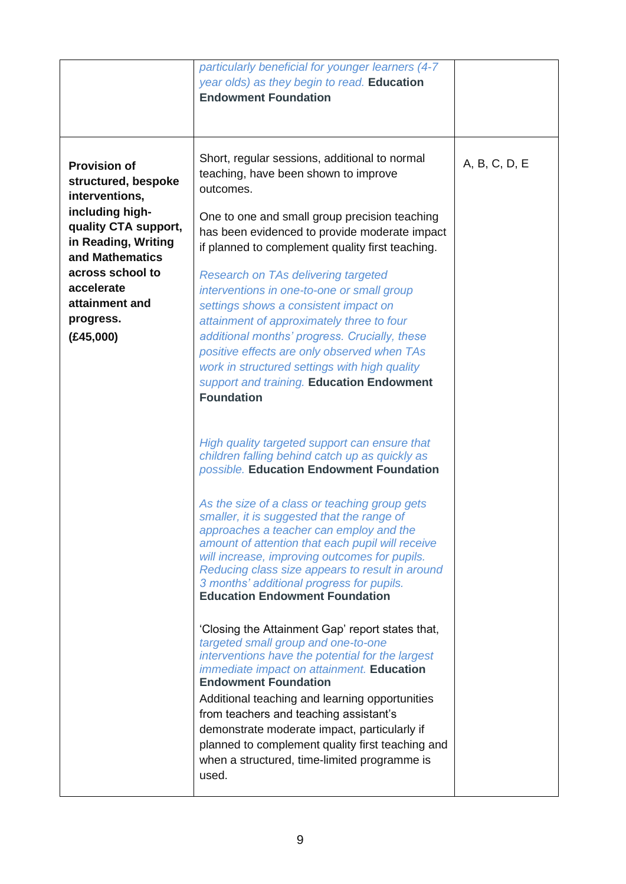|                                                                                                                                                                                                                                 | particularly beneficial for younger learners (4-7<br>year olds) as they begin to read. Education<br><b>Endowment Foundation</b>                                                                                                                                                                                                                                                                                                                                                                                                                                                                                                                                                                                                                                                                                                                                   |               |
|---------------------------------------------------------------------------------------------------------------------------------------------------------------------------------------------------------------------------------|-------------------------------------------------------------------------------------------------------------------------------------------------------------------------------------------------------------------------------------------------------------------------------------------------------------------------------------------------------------------------------------------------------------------------------------------------------------------------------------------------------------------------------------------------------------------------------------------------------------------------------------------------------------------------------------------------------------------------------------------------------------------------------------------------------------------------------------------------------------------|---------------|
| <b>Provision of</b><br>structured, bespoke<br>interventions,<br>including high-<br>quality CTA support,<br>in Reading, Writing<br>and Mathematics<br>across school to<br>accelerate<br>attainment and<br>progress.<br>(E45,000) | Short, regular sessions, additional to normal<br>teaching, have been shown to improve<br>outcomes.<br>One to one and small group precision teaching<br>has been evidenced to provide moderate impact<br>if planned to complement quality first teaching.<br><b>Research on TAs delivering targeted</b><br>interventions in one-to-one or small group<br>settings shows a consistent impact on<br>attainment of approximately three to four<br>additional months' progress. Crucially, these<br>positive effects are only observed when TAs<br>work in structured settings with high quality<br>support and training. Education Endowment<br><b>Foundation</b>                                                                                                                                                                                                     | A, B, C, D, E |
|                                                                                                                                                                                                                                 | High quality targeted support can ensure that<br>children falling behind catch up as quickly as<br>possible. Education Endowment Foundation<br>As the size of a class or teaching group gets<br>smaller, it is suggested that the range of<br>approaches a teacher can employ and the<br>amount of attention that each pupil will receive<br>will increase, improving outcomes for pupils.<br>Reducing class size appears to result in around<br>3 months' additional progress for pupils.<br><b>Education Endowment Foundation</b><br>'Closing the Attainment Gap' report states that,<br>targeted small group and one-to-one<br>interventions have the potential for the largest<br><i>immediate impact on attainment.</i> Education<br><b>Endowment Foundation</b><br>Additional teaching and learning opportunities<br>from teachers and teaching assistant's |               |
|                                                                                                                                                                                                                                 | demonstrate moderate impact, particularly if<br>planned to complement quality first teaching and<br>when a structured, time-limited programme is<br>used.                                                                                                                                                                                                                                                                                                                                                                                                                                                                                                                                                                                                                                                                                                         |               |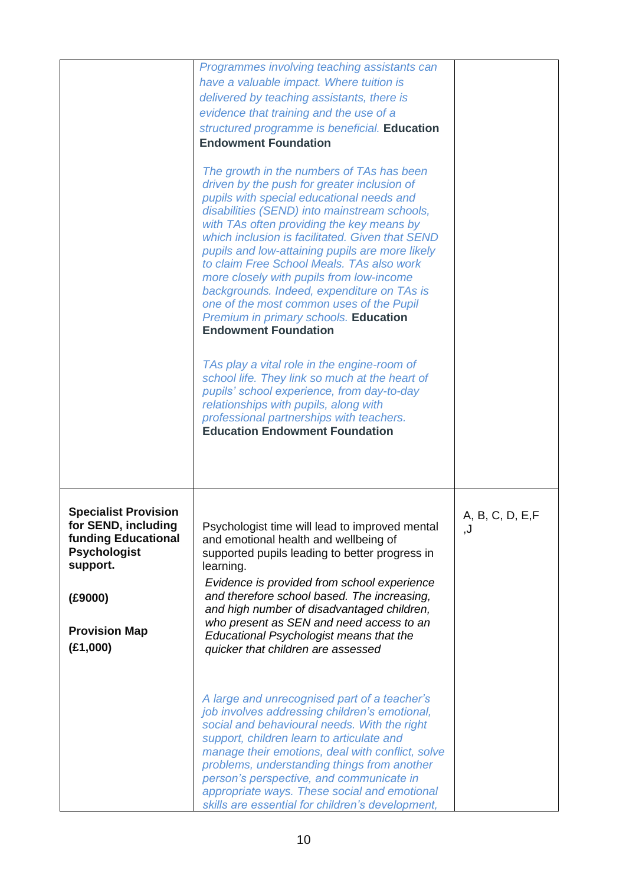|                                                                                                                                                                    | Programmes involving teaching assistants can<br>have a valuable impact. Where tuition is<br>delivered by teaching assistants, there is<br>evidence that training and the use of a<br>structured programme is beneficial. Education<br><b>Endowment Foundation</b>                                                                                                                                                                                                                                                                                                                                                                                                                                                                                  |                        |
|--------------------------------------------------------------------------------------------------------------------------------------------------------------------|----------------------------------------------------------------------------------------------------------------------------------------------------------------------------------------------------------------------------------------------------------------------------------------------------------------------------------------------------------------------------------------------------------------------------------------------------------------------------------------------------------------------------------------------------------------------------------------------------------------------------------------------------------------------------------------------------------------------------------------------------|------------------------|
|                                                                                                                                                                    | The growth in the numbers of TAs has been<br>driven by the push for greater inclusion of<br>pupils with special educational needs and<br>disabilities (SEND) into mainstream schools,<br>with TAs often providing the key means by<br>which inclusion is facilitated. Given that SEND<br>pupils and low-attaining pupils are more likely<br>to claim Free School Meals. TAs also work<br>more closely with pupils from low-income<br>backgrounds. Indeed, expenditure on TAs is<br>one of the most common uses of the Pupil<br>Premium in primary schools. Education<br><b>Endowment Foundation</b><br>TAs play a vital role in the engine-room of<br>school life. They link so much at the heart of<br>pupils' school experience, from day-to-day |                        |
|                                                                                                                                                                    | relationships with pupils, along with<br>professional partnerships with teachers.<br><b>Education Endowment Foundation</b>                                                                                                                                                                                                                                                                                                                                                                                                                                                                                                                                                                                                                         |                        |
| <b>Specialist Provision</b><br>for SEND, including<br><b>funding Educational</b><br><b>Psychologist</b><br>support.<br>(E9000)<br><b>Provision Map</b><br>(E1,000) | Psychologist time will lead to improved mental<br>and emotional health and wellbeing of<br>supported pupils leading to better progress in<br>learning.<br>Evidence is provided from school experience<br>and therefore school based. The increasing,<br>and high number of disadvantaged children,<br>who present as SEN and need access to an<br>Educational Psychologist means that the<br>quicker that children are assessed                                                                                                                                                                                                                                                                                                                    | A, B, C, D, E, F<br>,J |
|                                                                                                                                                                    | A large and unrecognised part of a teacher's<br>job involves addressing children's emotional,<br>social and behavioural needs. With the right<br>support, children learn to articulate and<br>manage their emotions, deal with conflict, solve<br>problems, understanding things from another<br>person's perspective, and communicate in<br>appropriate ways. These social and emotional<br>skills are essential for children's development,                                                                                                                                                                                                                                                                                                      |                        |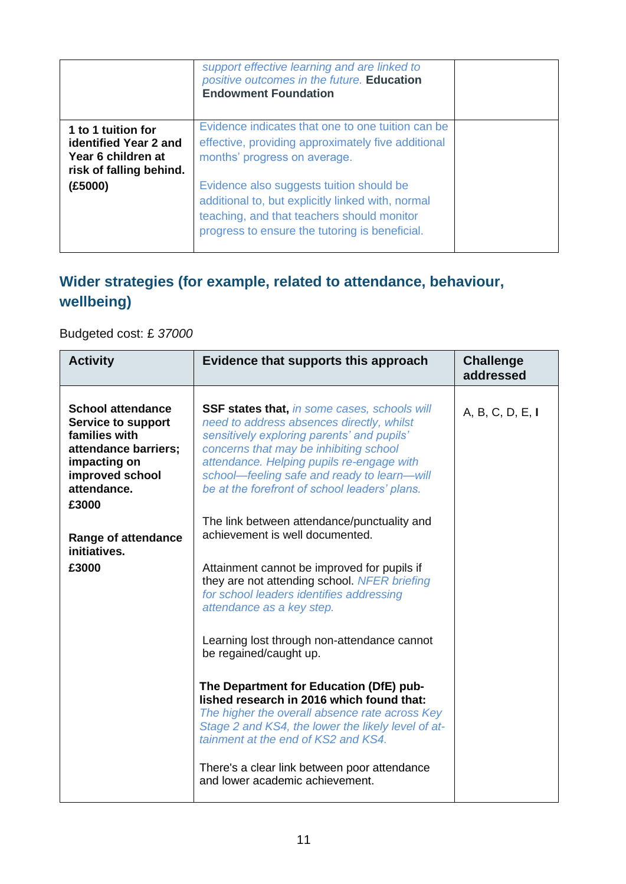|                                                                                              | support effective learning and are linked to<br>positive outcomes in the future. Education<br><b>Endowment Foundation</b>                                                                     |  |
|----------------------------------------------------------------------------------------------|-----------------------------------------------------------------------------------------------------------------------------------------------------------------------------------------------|--|
| 1 to 1 tuition for<br>identified Year 2 and<br>Year 6 children at<br>risk of falling behind. | Evidence indicates that one to one tuition can be<br>effective, providing approximately five additional<br>months' progress on average.                                                       |  |
| (£5000)                                                                                      | Evidence also suggests tuition should be<br>additional to, but explicitly linked with, normal<br>teaching, and that teachers should monitor<br>progress to ensure the tutoring is beneficial. |  |

## **Wider strategies (for example, related to attendance, behaviour, wellbeing)**

Budgeted cost: £ *37000*

| <b>Activity</b>                                                                                                                                           | Evidence that supports this approach                                                                                                                                                                                                                                                                                                  | <b>Challenge</b><br>addressed |
|-----------------------------------------------------------------------------------------------------------------------------------------------------------|---------------------------------------------------------------------------------------------------------------------------------------------------------------------------------------------------------------------------------------------------------------------------------------------------------------------------------------|-------------------------------|
| <b>School attendance</b><br><b>Service to support</b><br>families with<br>attendance barriers;<br>impacting on<br>improved school<br>attendance.<br>£3000 | <b>SSF states that, in some cases, schools will</b><br>need to address absences directly, whilst<br>sensitively exploring parents' and pupils'<br>concerns that may be inhibiting school<br>attendance. Helping pupils re-engage with<br>school-feeling safe and ready to learn-will<br>be at the forefront of school leaders' plans. | A, B, C, D, E, I              |
| <b>Range of attendance</b><br>initiatives.                                                                                                                | The link between attendance/punctuality and<br>achievement is well documented.                                                                                                                                                                                                                                                        |                               |
| £3000                                                                                                                                                     | Attainment cannot be improved for pupils if<br>they are not attending school. NFER briefing<br>for school leaders identifies addressing<br>attendance as a key step.                                                                                                                                                                  |                               |
|                                                                                                                                                           | Learning lost through non-attendance cannot<br>be regained/caught up.                                                                                                                                                                                                                                                                 |                               |
|                                                                                                                                                           | The Department for Education (DfE) pub-<br>lished research in 2016 which found that:<br>The higher the overall absence rate across Key<br>Stage 2 and KS4, the lower the likely level of at-<br>tainment at the end of KS2 and KS4.                                                                                                   |                               |
|                                                                                                                                                           | There's a clear link between poor attendance<br>and lower academic achievement.                                                                                                                                                                                                                                                       |                               |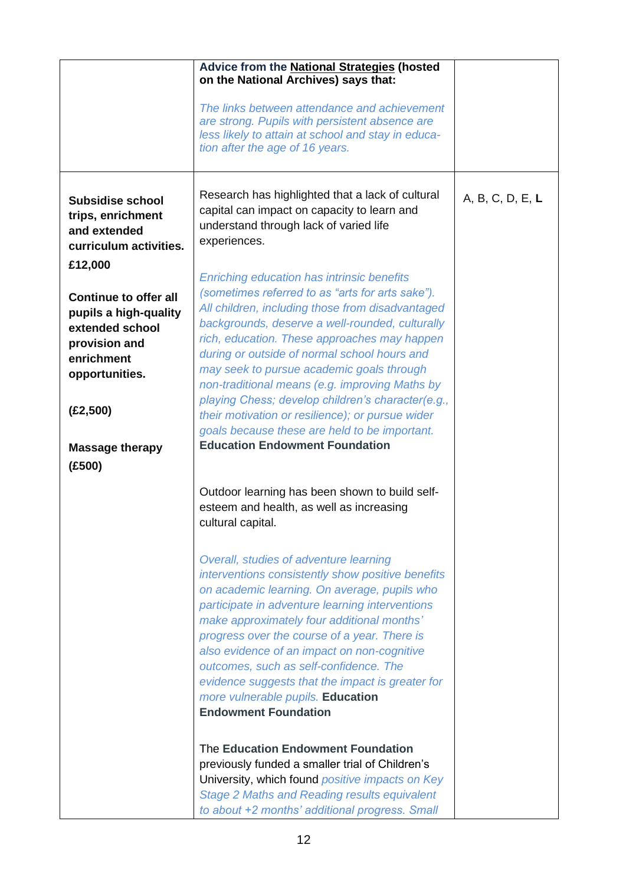|                                                                                                                                                                            | Advice from the National Strategies (hosted<br>on the National Archives) says that:<br>The links between attendance and achievement<br>are strong. Pupils with persistent absence are<br>less likely to attain at school and stay in educa-<br>tion after the age of 16 years.                                                                                                                                                                                                                                                                                                                                 |                  |
|----------------------------------------------------------------------------------------------------------------------------------------------------------------------------|----------------------------------------------------------------------------------------------------------------------------------------------------------------------------------------------------------------------------------------------------------------------------------------------------------------------------------------------------------------------------------------------------------------------------------------------------------------------------------------------------------------------------------------------------------------------------------------------------------------|------------------|
| <b>Subsidise school</b><br>trips, enrichment<br>and extended<br>curriculum activities.<br>£12,000                                                                          | Research has highlighted that a lack of cultural<br>capital can impact on capacity to learn and<br>understand through lack of varied life<br>experiences.                                                                                                                                                                                                                                                                                                                                                                                                                                                      | A, B, C, D, E, L |
| <b>Continue to offer all</b><br>pupils a high-quality<br>extended school<br>provision and<br>enrichment<br>opportunities.<br>(E2, 500)<br><b>Massage therapy</b><br>(E500) | <b>Enriching education has intrinsic benefits</b><br>(sometimes referred to as "arts for arts sake").<br>All children, including those from disadvantaged<br>backgrounds, deserve a well-rounded, culturally<br>rich, education. These approaches may happen<br>during or outside of normal school hours and<br>may seek to pursue academic goals through<br>non-traditional means (e.g. improving Maths by<br>playing Chess; develop children's character(e.g.,<br>their motivation or resilience); or pursue wider<br>goals because these are held to be important.<br><b>Education Endowment Foundation</b> |                  |
|                                                                                                                                                                            | Outdoor learning has been shown to build self-<br>esteem and health, as well as increasing<br>cultural capital.                                                                                                                                                                                                                                                                                                                                                                                                                                                                                                |                  |
|                                                                                                                                                                            | Overall, studies of adventure learning<br>interventions consistently show positive benefits<br>on academic learning. On average, pupils who<br>participate in adventure learning interventions<br>make approximately four additional months'<br>progress over the course of a year. There is<br>also evidence of an impact on non-cognitive<br>outcomes, such as self-confidence. The<br>evidence suggests that the impact is greater for<br>more vulnerable pupils. Education<br><b>Endowment Foundation</b>                                                                                                  |                  |
|                                                                                                                                                                            | The Education Endowment Foundation<br>previously funded a smaller trial of Children's<br>University, which found <i>positive impacts on Key</i><br><b>Stage 2 Maths and Reading results equivalent</b><br>to about +2 months' additional progress. Small                                                                                                                                                                                                                                                                                                                                                       |                  |